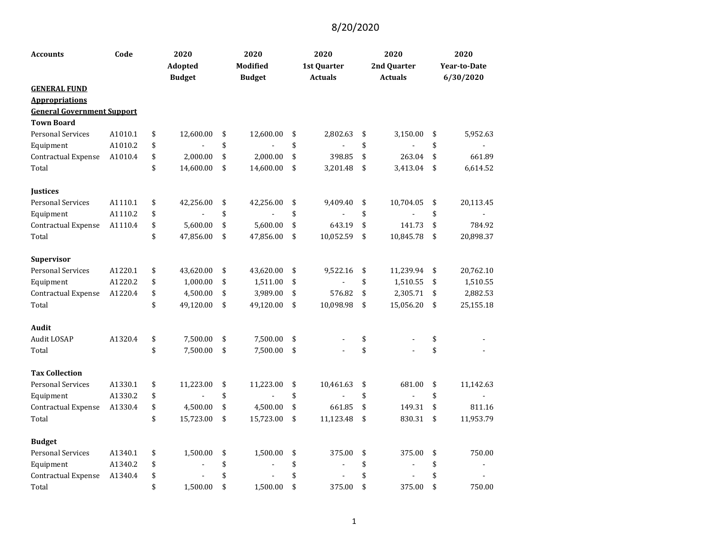| <b>Accounts</b>                   | Code    | 2020<br><b>Adopted</b><br><b>Budget</b> | 2020<br><b>Modified</b><br><b>Budget</b> | 2020<br>1st Quarter<br><b>Actuals</b> | 2020<br>2nd Quarter<br><b>Actuals</b> | 2020<br><b>Year-to-Date</b><br>6/30/2020 |
|-----------------------------------|---------|-----------------------------------------|------------------------------------------|---------------------------------------|---------------------------------------|------------------------------------------|
| <b>GENERAL FUND</b>               |         |                                         |                                          |                                       |                                       |                                          |
| <b>Appropriations</b>             |         |                                         |                                          |                                       |                                       |                                          |
| <b>General Government Support</b> |         |                                         |                                          |                                       |                                       |                                          |
| <b>Town Board</b>                 |         |                                         |                                          |                                       |                                       |                                          |
| <b>Personal Services</b>          | A1010.1 | \$<br>12,600.00                         | \$<br>12,600.00                          | \$<br>2,802.63                        | \$<br>3,150.00                        | \$<br>5,952.63                           |
| Equipment                         | A1010.2 | \$                                      | \$                                       | \$                                    | \$                                    | \$                                       |
| Contractual Expense               | A1010.4 | \$<br>2,000.00                          | \$<br>2,000.00                           | \$<br>398.85                          | \$<br>263.04                          | \$<br>661.89                             |
| Total                             |         | \$<br>14,600.00                         | \$<br>14,600.00                          | \$<br>3,201.48                        | \$<br>3,413.04                        | \$<br>6,614.52                           |
| <b>Justices</b>                   |         |                                         |                                          |                                       |                                       |                                          |
| <b>Personal Services</b>          | A1110.1 | \$<br>42,256.00                         | \$<br>42,256.00                          | \$<br>9,409.40                        | \$<br>10,704.05                       | \$<br>20,113.45                          |
| Equipment                         | A1110.2 | \$                                      | \$<br>$\overline{a}$                     | \$                                    | \$                                    | \$                                       |
| Contractual Expense               | A1110.4 | \$<br>5,600.00                          | \$<br>5,600.00                           | \$<br>643.19                          | \$<br>141.73                          | \$<br>784.92                             |
| Total                             |         | \$<br>47,856.00                         | \$<br>47,856.00                          | \$<br>10,052.59                       | \$<br>10,845.78                       | \$<br>20,898.37                          |
| Supervisor                        |         |                                         |                                          |                                       |                                       |                                          |
| <b>Personal Services</b>          | A1220.1 | \$<br>43,620.00                         | \$<br>43,620.00                          | \$<br>9,522.16                        | \$<br>11,239.94                       | \$<br>20,762.10                          |
| Equipment                         | A1220.2 | \$<br>1,000.00                          | \$<br>1,511.00                           | \$                                    | \$<br>1,510.55                        | \$<br>1,510.55                           |
| Contractual Expense               | A1220.4 | \$<br>4,500.00                          | \$<br>3,989.00                           | \$<br>576.82                          | \$<br>2,305.71                        | \$<br>2,882.53                           |
| Total                             |         | \$<br>49,120.00                         | \$<br>49,120.00                          | \$<br>10,098.98                       | \$<br>15,056.20                       | \$<br>25,155.18                          |
| Audit                             |         |                                         |                                          |                                       |                                       |                                          |
| Audit LOSAP                       | A1320.4 | \$<br>7,500.00                          | \$<br>7,500.00                           | \$                                    | \$                                    | \$                                       |
| Total                             |         | \$<br>7,500.00                          | \$<br>7,500.00                           | \$                                    | \$                                    | \$                                       |
| <b>Tax Collection</b>             |         |                                         |                                          |                                       |                                       |                                          |
| <b>Personal Services</b>          | A1330.1 | \$<br>11,223.00                         | \$<br>11,223.00                          | \$<br>10,461.63                       | \$<br>681.00                          | \$<br>11,142.63                          |
| Equipment                         | A1330.2 | \$                                      | \$                                       | \$                                    | \$                                    | \$                                       |
| Contractual Expense               | A1330.4 | \$<br>4,500.00                          | \$<br>4,500.00                           | \$<br>661.85                          | \$<br>149.31                          | \$<br>811.16                             |
| Total                             |         | \$<br>15,723.00                         | \$<br>15,723.00                          | \$<br>11,123.48                       | \$<br>830.31                          | \$<br>11,953.79                          |
| <b>Budget</b>                     |         |                                         |                                          |                                       |                                       |                                          |
| <b>Personal Services</b>          | A1340.1 | \$<br>1,500.00                          | \$<br>1,500.00                           | \$<br>375.00                          | \$<br>375.00                          | \$<br>750.00                             |
| Equipment                         | A1340.2 | \$                                      | \$<br>$\overline{a}$                     | \$                                    | \$                                    | \$                                       |
| Contractual Expense               | A1340.4 | \$                                      | \$                                       | \$                                    | \$                                    | \$                                       |
| Total                             |         | \$<br>1,500.00                          | \$<br>1,500.00                           | \$<br>375.00                          | \$<br>375.00                          | \$<br>750.00                             |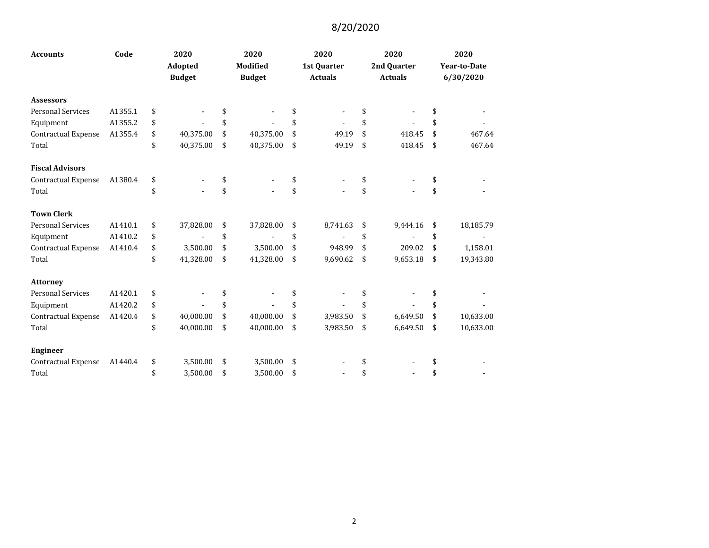| <b>Accounts</b>            | Code    | 2020 |               | 2020 |                 | 2020           | 2020           | 2020                |
|----------------------------|---------|------|---------------|------|-----------------|----------------|----------------|---------------------|
|                            |         |      | Adopted       |      | <b>Modified</b> | 1st Quarter    | 2nd Quarter    | <b>Year-to-Date</b> |
|                            |         |      | <b>Budget</b> |      | <b>Budget</b>   | <b>Actuals</b> | <b>Actuals</b> | 6/30/2020           |
| <b>Assessors</b>           |         |      |               |      |                 |                |                |                     |
| <b>Personal Services</b>   | A1355.1 | \$   |               | \$   |                 |                | \$             | \$                  |
| Equipment                  | A1355.2 | \$   |               | \$   |                 | \$             | \$             |                     |
| <b>Contractual Expense</b> | A1355.4 | \$   | 40,375.00     | \$   | 40,375.00       | \$<br>49.19    | \$<br>418.45   | \$<br>467.64        |
| Total                      |         | \$   | 40,375.00     | \$   | 40,375.00       | \$<br>49.19    | \$<br>418.45   | \$<br>467.64        |
| <b>Fiscal Advisors</b>     |         |      |               |      |                 |                |                |                     |
| Contractual Expense        | A1380.4 | \$   |               | \$   |                 | \$             | \$             | \$                  |
| Total                      |         | \$   |               | \$   |                 | \$             | \$             | \$                  |
| <b>Town Clerk</b>          |         |      |               |      |                 |                |                |                     |
| <b>Personal Services</b>   | A1410.1 | \$   | 37,828.00     | \$   | 37,828.00       | \$<br>8,741.63 | \$<br>9,444.16 | \$<br>18,185.79     |
| Equipment                  | A1410.2 | \$   |               | \$   |                 | \$             | \$             | \$                  |
| Contractual Expense        | A1410.4 | \$   | 3,500.00      | \$   | 3,500.00        | \$<br>948.99   | \$<br>209.02   | \$<br>1,158.01      |
| Total                      |         | \$   | 41,328.00     | \$   | 41,328.00       | \$<br>9,690.62 | \$<br>9,653.18 | \$<br>19,343.80     |
| <b>Attorney</b>            |         |      |               |      |                 |                |                |                     |
| <b>Personal Services</b>   | A1420.1 | \$   |               | \$   |                 |                | \$             | \$                  |
| Equipment                  | A1420.2 | \$   |               | \$   |                 | \$             | \$             | \$                  |
| Contractual Expense        | A1420.4 | \$   | 40,000.00     | \$   | 40,000.00       | \$<br>3,983.50 | \$<br>6,649.50 | \$<br>10,633.00     |
| Total                      |         | \$   | 40,000.00     | \$   | 40,000.00       | \$<br>3,983.50 | \$<br>6,649.50 | \$<br>10,633.00     |
| <b>Engineer</b>            |         |      |               |      |                 |                |                |                     |
| Contractual Expense        | A1440.4 | \$   | 3,500.00      | \$   | 3,500.00        | \$             | \$             | \$                  |
| Total                      |         | \$   | 3,500.00      | \$   | 3,500.00        | \$             | \$             | \$                  |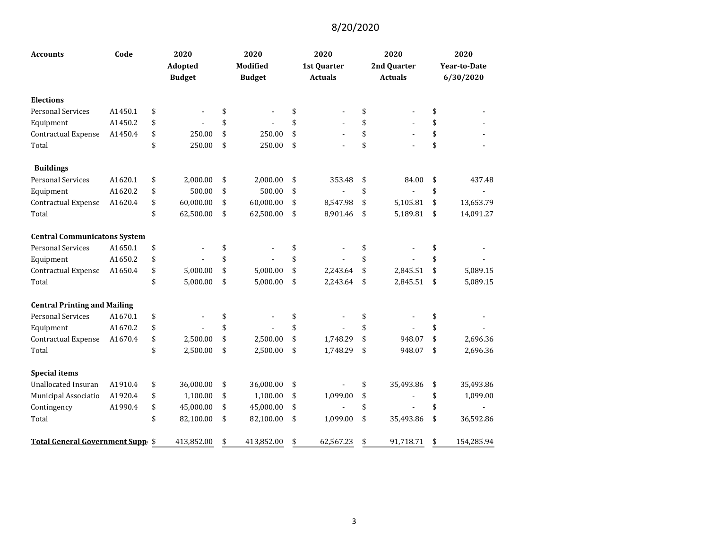| <b>Accounts</b>                     | Code    | 2020<br>Adopted<br><b>Budget</b> | 2020<br><b>Modified</b><br><b>Budget</b> | 2020<br>1st Quarter<br><b>Actuals</b> | 2020<br>2nd Quarter<br><b>Actuals</b> | 2020<br><b>Year-to-Date</b><br>6/30/2020 |
|-------------------------------------|---------|----------------------------------|------------------------------------------|---------------------------------------|---------------------------------------|------------------------------------------|
| <b>Elections</b>                    |         |                                  |                                          |                                       |                                       |                                          |
| <b>Personal Services</b>            | A1450.1 | \$                               | \$                                       | \$                                    | \$                                    | \$                                       |
| Equipment                           | A1450.2 | \$                               | \$                                       | \$                                    | \$                                    | \$                                       |
| Contractual Expense                 | A1450.4 | \$<br>250.00                     | \$<br>250.00                             | \$<br>$\overline{a}$                  | \$                                    | \$                                       |
| Total                               |         | \$<br>250.00                     | \$<br>250.00                             | \$                                    | \$                                    | \$                                       |
| <b>Buildings</b>                    |         |                                  |                                          |                                       |                                       |                                          |
| <b>Personal Services</b>            | A1620.1 | \$<br>2,000.00                   | \$<br>2,000.00                           | \$<br>353.48                          | \$<br>84.00                           | \$<br>437.48                             |
| Equipment                           | A1620.2 | \$<br>500.00                     | \$<br>500.00                             | \$                                    | \$                                    | \$                                       |
| Contractual Expense                 | A1620.4 | \$<br>60,000.00                  | \$<br>60,000.00                          | \$<br>8,547.98                        | \$<br>5,105.81                        | \$<br>13,653.79                          |
| Total                               |         | \$<br>62,500.00                  | \$<br>62,500.00                          | \$<br>8,901.46                        | \$<br>5,189.81                        | \$<br>14,091.27                          |
| <b>Central Communicatons System</b> |         |                                  |                                          |                                       |                                       |                                          |
| <b>Personal Services</b>            | A1650.1 | \$                               | \$                                       | \$                                    | \$                                    | \$                                       |
| Equipment                           | A1650.2 | \$<br>$\mathbf{r}$               | \$                                       | \$                                    | \$                                    | \$                                       |
| Contractual Expense                 | A1650.4 | \$<br>5,000.00                   | \$<br>5,000.00                           | \$<br>2,243.64                        | \$<br>2,845.51                        | \$<br>5,089.15                           |
| Total                               |         | \$<br>5,000.00                   | \$<br>5,000.00                           | \$<br>2,243.64                        | \$<br>2,845.51                        | \$<br>5,089.15                           |
| <b>Central Printing and Mailing</b> |         |                                  |                                          |                                       |                                       |                                          |
| <b>Personal Services</b>            | A1670.1 | \$                               | \$                                       | \$                                    | \$                                    | \$                                       |
| Equipment                           | A1670.2 | \$                               | \$                                       | \$                                    | \$                                    | \$                                       |
| Contractual Expense                 | A1670.4 | \$<br>2,500.00                   | \$<br>2,500.00                           | \$<br>1,748.29                        | \$<br>948.07                          | \$<br>2,696.36                           |
| Total                               |         | \$<br>2,500.00                   | \$<br>2,500.00                           | \$<br>1,748.29                        | \$<br>948.07                          | \$<br>2,696.36                           |
| <b>Special items</b>                |         |                                  |                                          |                                       |                                       |                                          |
| Unallocated Insuran                 | A1910.4 | \$<br>36,000.00                  | \$<br>36,000.00                          | \$                                    | \$<br>35,493.86                       | \$<br>35,493.86                          |
| Municipal Associatio                | A1920.4 | \$<br>1,100.00                   | \$<br>1,100.00                           | \$<br>1,099.00                        | \$                                    | \$<br>1,099.00                           |
| Contingency                         | A1990.4 | \$<br>45,000.00                  | \$<br>45,000.00                          | \$                                    | \$                                    | \$                                       |
| Total                               |         | \$<br>82,100.00                  | \$<br>82,100.00                          | \$<br>1,099.00                        | \$<br>35,493.86                       | \$<br>36,592.86                          |
| Total General Government Supp \$    |         | 413,852.00                       | \$<br>413,852.00                         | \$<br>62,567.23                       | \$<br>91,718.71                       | \$<br>154,285.94                         |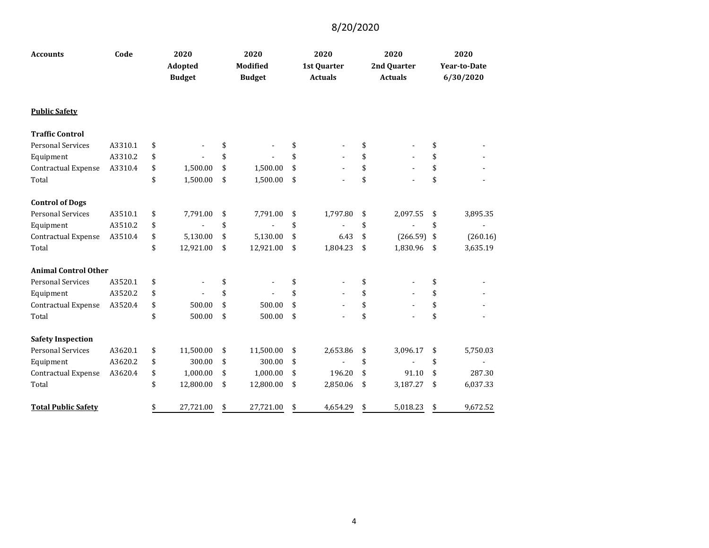| <b>Accounts</b>             | Code    | 2020<br>Adopted<br><b>Budget</b> |           | 2020<br><b>Modified</b><br><b>Budget</b> | 2020<br>1st Quarter<br><b>Actuals</b> | 2020<br>2nd Quarter<br><b>Actuals</b> | 2020<br><b>Year-to-Date</b><br>6/30/2020 |
|-----------------------------|---------|----------------------------------|-----------|------------------------------------------|---------------------------------------|---------------------------------------|------------------------------------------|
| <b>Public Safety</b>        |         |                                  |           |                                          |                                       |                                       |                                          |
| <b>Traffic Control</b>      |         |                                  |           |                                          |                                       |                                       |                                          |
| <b>Personal Services</b>    | A3310.1 | \$                               |           | \$                                       | \$                                    | \$                                    | \$                                       |
| Equipment                   | A3310.2 | \$                               |           | \$                                       | \$                                    | \$                                    | \$                                       |
| Contractual Expense         | A3310.4 | \$                               | 1,500.00  | \$<br>1,500.00                           | \$                                    | \$                                    | \$                                       |
| Total                       |         | \$                               | 1,500.00  | \$<br>1,500.00                           | \$                                    | \$                                    | \$                                       |
| <b>Control of Dogs</b>      |         |                                  |           |                                          |                                       |                                       |                                          |
| <b>Personal Services</b>    | A3510.1 | \$                               | 7,791.00  | \$<br>7,791.00                           | \$<br>1,797.80                        | \$<br>2,097.55                        | \$<br>3,895.35                           |
| Equipment                   | A3510.2 | \$                               |           | \$                                       | \$                                    | \$                                    | \$                                       |
| Contractual Expense         | A3510.4 | \$                               | 5,130.00  | \$<br>5,130.00                           | \$<br>6.43                            | \$<br>$(266.59)$ \$                   | (260.16)                                 |
| Total                       |         | \$                               | 12,921.00 | \$<br>12,921.00                          | \$<br>1,804.23                        | \$<br>1,830.96                        | \$<br>3,635.19                           |
| <b>Animal Control Other</b> |         |                                  |           |                                          |                                       |                                       |                                          |
| <b>Personal Services</b>    | A3520.1 | \$                               |           | \$                                       | \$                                    | \$                                    | \$                                       |
| Equipment                   | A3520.2 | \$                               |           | \$                                       | \$                                    | \$                                    | \$                                       |
| Contractual Expense         | A3520.4 | \$                               | 500.00    | \$<br>500.00                             | \$                                    | \$                                    | \$                                       |
| Total                       |         | \$                               | 500.00    | \$<br>500.00                             | \$                                    | \$                                    | \$                                       |
| <b>Safety Inspection</b>    |         |                                  |           |                                          |                                       |                                       |                                          |
| <b>Personal Services</b>    | A3620.1 | \$                               | 11,500.00 | \$<br>11,500.00                          | \$<br>2,653.86                        | \$<br>3,096.17                        | \$<br>5,750.03                           |
| Equipment                   | A3620.2 | \$                               | 300.00    | \$<br>300.00                             | \$                                    | \$                                    | \$                                       |
| Contractual Expense         | A3620.4 | \$                               | 1,000.00  | \$<br>1,000.00                           | \$<br>196.20                          | \$<br>91.10                           | \$<br>287.30                             |
| Total                       |         | \$                               | 12,800.00 | \$<br>12,800.00                          | \$<br>2,850.06                        | \$<br>3,187.27                        | \$<br>6,037.33                           |
| <b>Total Public Safety</b>  |         | \$                               | 27,721.00 | \$<br>27,721.00                          | \$<br>4,654.29                        | \$<br>5,018.23                        | \$<br>9,672.52                           |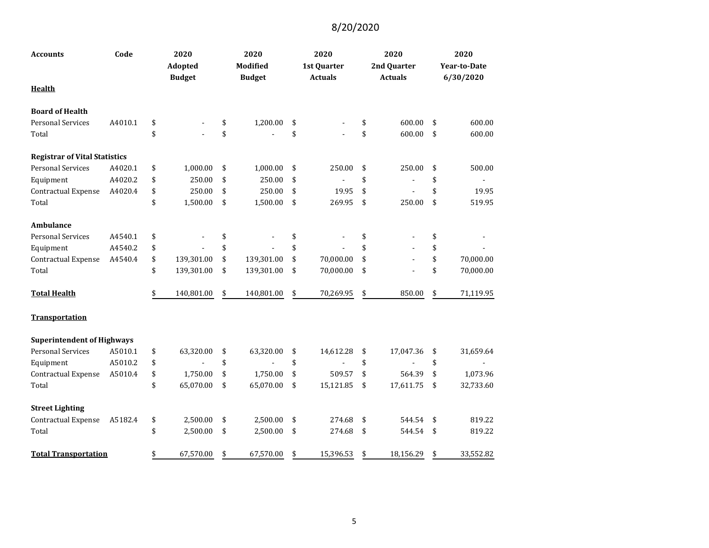| Accounts                             | Code    | 2020<br>Adopted<br><b>Budget</b> | 2020<br>Modified<br><b>Budget</b> | 2020<br>1st Quarter<br><b>Actuals</b> | 2020<br>2nd Quarter<br><b>Actuals</b> | 2020<br>Year-to-Date<br>6/30/2020 |
|--------------------------------------|---------|----------------------------------|-----------------------------------|---------------------------------------|---------------------------------------|-----------------------------------|
| <b>Health</b>                        |         |                                  |                                   |                                       |                                       |                                   |
| <b>Board of Health</b>               |         |                                  |                                   |                                       |                                       |                                   |
| <b>Personal Services</b>             | A4010.1 | \$                               | \$<br>1,200.00                    | \$                                    | \$<br>600.00                          | \$<br>600.00                      |
| Total                                |         | \$                               | \$                                | \$                                    | \$<br>600.00                          | \$<br>600.00                      |
| <b>Registrar of Vital Statistics</b> |         |                                  |                                   |                                       |                                       |                                   |
| <b>Personal Services</b>             | A4020.1 | \$<br>1,000.00                   | \$<br>1,000.00                    | \$<br>250.00                          | \$<br>250.00                          | \$<br>500.00                      |
| Equipment                            | A4020.2 | \$<br>250.00                     | \$<br>250.00                      | \$                                    | \$                                    | \$                                |
| Contractual Expense                  | A4020.4 | \$<br>250.00                     | \$<br>250.00                      | \$<br>19.95                           | \$                                    | \$<br>19.95                       |
| Total                                |         | \$<br>1,500.00                   | \$<br>1,500.00                    | \$<br>269.95                          | \$<br>250.00                          | \$<br>519.95                      |
| Ambulance                            |         |                                  |                                   |                                       |                                       |                                   |
| <b>Personal Services</b>             | A4540.1 | \$                               | \$                                | \$                                    | \$                                    | \$                                |
| Equipment                            | A4540.2 | \$                               | \$                                | \$                                    | \$                                    | \$                                |
| <b>Contractual Expense</b>           | A4540.4 | \$<br>139,301.00                 | \$<br>139,301.00                  | \$<br>70,000.00                       | \$                                    | \$<br>70,000.00                   |
| Total                                |         | \$<br>139,301.00                 | \$<br>139,301.00                  | \$<br>70,000.00                       | \$                                    | \$<br>70,000.00                   |
| <b>Total Health</b>                  |         | \$<br>140,801.00                 | \$<br>140,801.00                  | \$<br>70,269.95                       | \$<br>850.00                          | \$<br>71,119.95                   |
| Transportation                       |         |                                  |                                   |                                       |                                       |                                   |
| <b>Superintendent of Highways</b>    |         |                                  |                                   |                                       |                                       |                                   |
| <b>Personal Services</b>             | A5010.1 | \$<br>63,320.00                  | \$<br>63,320.00                   | \$<br>14,612.28                       | \$<br>17,047.36                       | \$<br>31,659.64                   |
| Equipment                            | A5010.2 | \$                               | \$                                | \$                                    | \$                                    | \$                                |
| <b>Contractual Expense</b>           | A5010.4 | \$<br>1,750.00                   | \$<br>1,750.00                    | \$<br>509.57                          | \$<br>564.39                          | \$<br>1,073.96                    |
| Total                                |         | \$<br>65,070.00                  | \$<br>65,070.00                   | \$<br>15,121.85                       | \$<br>17,611.75                       | \$<br>32,733.60                   |
| <b>Street Lighting</b>               |         |                                  |                                   |                                       |                                       |                                   |
| <b>Contractual Expense</b>           | A5182.4 | \$<br>2,500.00                   | \$<br>2,500.00                    | \$<br>274.68                          | \$<br>544.54                          | \$<br>819.22                      |
| Total                                |         | \$<br>2,500.00                   | \$<br>2,500.00                    | \$<br>274.68                          | \$<br>544.54                          | \$<br>819.22                      |
| <b>Total Transportation</b>          |         | \$<br>67,570.00                  | \$<br>67,570.00                   | \$<br>15,396.53                       | \$<br>18,156.29                       | \$<br>33,552.82                   |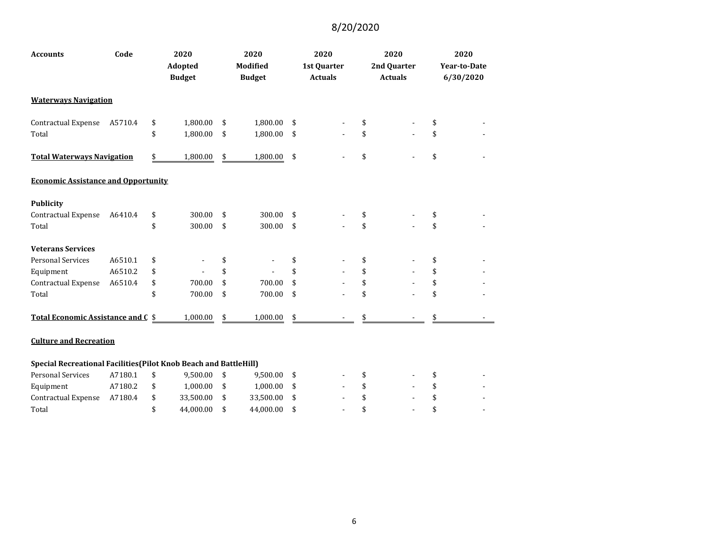| <b>Accounts</b>                                                   | Code    | 2020<br><b>Adopted</b><br><b>Budget</b> | 2020<br><b>Modified</b><br><b>Budget</b> | 2020<br>1st Quarter<br><b>Actuals</b> | 2020<br>2nd Quarter<br><b>Actuals</b> | 2020<br><b>Year-to-Date</b><br>6/30/2020 |
|-------------------------------------------------------------------|---------|-----------------------------------------|------------------------------------------|---------------------------------------|---------------------------------------|------------------------------------------|
| <b>Waterways Navigation</b>                                       |         |                                         |                                          |                                       |                                       |                                          |
| Contractual Expense                                               | A5710.4 | \$<br>1,800.00                          | \$<br>1,800.00                           | \$                                    | \$                                    | \$                                       |
| Total                                                             |         | \$<br>1,800.00                          | \$<br>1,800.00                           | \$                                    | \$                                    | \$                                       |
| <b>Total Waterways Navigation</b>                                 |         | \$<br>1,800.00                          | \$<br>1,800.00                           | \$                                    | \$                                    | \$                                       |
| <b>Economic Assistance and Opportunity</b>                        |         |                                         |                                          |                                       |                                       |                                          |
| <b>Publicity</b>                                                  |         |                                         |                                          |                                       |                                       |                                          |
| Contractual Expense                                               | A6410.4 | \$<br>300.00                            | \$<br>300.00                             | \$                                    | \$                                    | \$                                       |
| Total                                                             |         | \$<br>300.00                            | \$<br>300.00                             | \$                                    | \$                                    | \$                                       |
| <b>Veterans Services</b>                                          |         |                                         |                                          |                                       |                                       |                                          |
| <b>Personal Services</b>                                          | A6510.1 | \$                                      | \$                                       | \$                                    | \$                                    | \$                                       |
| Equipment                                                         | A6510.2 | \$                                      | \$                                       | \$                                    | \$                                    | \$                                       |
| Contractual Expense                                               | A6510.4 | \$<br>700.00                            | \$<br>700.00                             | \$                                    | \$                                    | \$                                       |
| Total                                                             |         | \$<br>700.00                            | \$<br>700.00                             | \$                                    | \$                                    | \$                                       |
| Total Economic Assistance and C \$                                |         | 1,000.00                                | \$<br>1,000.00                           | \$                                    |                                       |                                          |
| <b>Culture and Recreation</b>                                     |         |                                         |                                          |                                       |                                       |                                          |
| Special Recreational Facilities (Pilot Knob Beach and BattleHill) |         |                                         |                                          |                                       |                                       |                                          |

| Personal Services   | A7180.1 | 9.500.00  | - \$ | 9.500.00  | - | $\overline{\phantom{0}}$ | $\sim$ |
|---------------------|---------|-----------|------|-----------|---|--------------------------|--------|
| Equipment           | A7180.2 | 1.000.00  | - S  | 1.000.00  | - | $\blacksquare$           | $\sim$ |
| Contractual Expense | A7180.4 | 33.500.00 |      | 33,500.00 |   | $\overline{\phantom{a}}$ | $\sim$ |
| Total               |         | 44.000.00 |      | 44.000.00 |   | $\sim$                   | $\sim$ |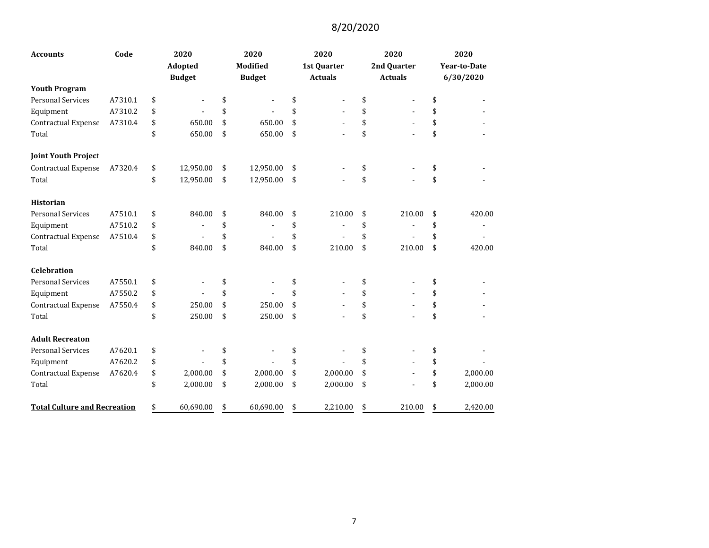| <b>Accounts</b>                     | Code    | 2020<br>Adopted |               | 2020<br><b>Modified</b> | 2020<br>1st Quarter | 2020<br>2nd Quarter | 2020<br><b>Year-to-Date</b> |
|-------------------------------------|---------|-----------------|---------------|-------------------------|---------------------|---------------------|-----------------------------|
|                                     |         |                 | <b>Budget</b> | <b>Budget</b>           | <b>Actuals</b>      | <b>Actuals</b>      | 6/30/2020                   |
| <b>Youth Program</b>                |         |                 |               |                         |                     |                     |                             |
| Personal Services                   | A7310.1 | \$              |               | \$                      | \$                  | \$                  | \$                          |
| Equipment                           | A7310.2 | \$              |               | \$                      | \$                  | \$                  | \$                          |
| <b>Contractual Expense</b>          | A7310.4 | \$              | 650.00        | \$<br>650.00            | \$                  | \$                  | \$                          |
| Total                               |         | \$              | 650.00        | \$<br>650.00            | \$                  | \$                  | \$                          |
| <b>Joint Youth Project</b>          |         |                 |               |                         |                     |                     |                             |
| Contractual Expense                 | A7320.4 | \$              | 12,950.00     | \$<br>12,950.00         | \$                  | \$                  | \$                          |
| Total                               |         | \$              | 12,950.00     | \$<br>12,950.00         | \$                  | \$                  | \$                          |
| <b>Historian</b>                    |         |                 |               |                         |                     |                     |                             |
| <b>Personal Services</b>            | A7510.1 | \$              | 840.00        | \$<br>840.00            | \$<br>210.00        | \$<br>210.00        | \$<br>420.00                |
| Equipment                           | A7510.2 | \$              |               | \$                      | \$                  | \$                  | \$                          |
| <b>Contractual Expense</b>          | A7510.4 | \$              |               | \$                      | \$                  | \$                  | \$                          |
| Total                               |         | \$              | 840.00        | \$<br>840.00            | \$<br>210.00        | \$<br>210.00        | \$<br>420.00                |
| <b>Celebration</b>                  |         |                 |               |                         |                     |                     |                             |
| <b>Personal Services</b>            | A7550.1 | \$              |               | \$                      | \$                  | \$                  | \$                          |
| Equipment                           | A7550.2 | \$              |               | \$                      | \$                  | \$                  | \$                          |
| <b>Contractual Expense</b>          | A7550.4 | \$              | 250.00        | \$<br>250.00            | \$                  | \$                  | \$                          |
| Total                               |         | \$              | 250.00        | \$<br>250.00            | \$                  | \$                  | \$                          |
| <b>Adult Recreaton</b>              |         |                 |               |                         |                     |                     |                             |
| <b>Personal Services</b>            | A7620.1 | \$              |               | \$                      | \$                  | \$                  | \$                          |
| Equipment                           | A7620.2 | \$              |               | \$                      | \$                  | \$                  | \$                          |
| <b>Contractual Expense</b>          | A7620.4 | \$              | 2,000.00      | \$<br>2,000.00          | \$<br>2,000.00      | \$                  | \$<br>2,000.00              |
| Total                               |         | \$              | 2,000.00      | \$<br>2,000.00          | \$<br>2,000.00      | \$                  | \$<br>2,000.00              |
| <b>Total Culture and Recreation</b> |         | \$              | 60,690.00     | \$<br>60,690.00         | \$<br>2,210.00      | \$<br>210.00        | \$<br>2,420.00              |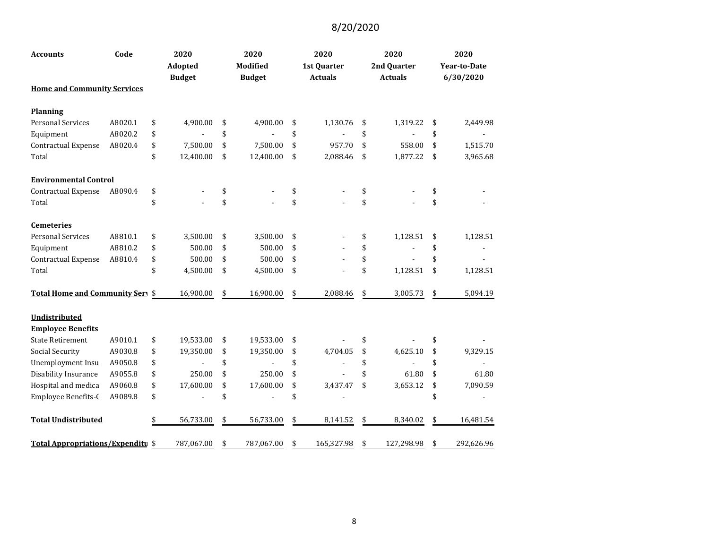| <b>Accounts</b>                    | Code    |    | 2020<br>Adopted<br><b>Budget</b> |    | 2020<br><b>Modified</b><br><b>Budget</b> |    |            | 2020<br>1st Quarter<br><b>Actuals</b> | 2020<br>2nd Quarter<br><b>Actuals</b> | 2020<br><b>Year-to-Date</b><br>6/30/2020 |
|------------------------------------|---------|----|----------------------------------|----|------------------------------------------|----|------------|---------------------------------------|---------------------------------------|------------------------------------------|
| <b>Home and Community Services</b> |         |    |                                  |    |                                          |    |            |                                       |                                       |                                          |
| <b>Planning</b>                    |         |    |                                  |    |                                          |    |            |                                       |                                       |                                          |
| Personal Services                  | A8020.1 | \$ | 4,900.00                         | \$ | 4,900.00                                 | \$ | 1,130.76   | \$<br>1,319.22                        | \$<br>2,449.98                        |                                          |
| Equipment                          | A8020.2 | \$ |                                  | \$ |                                          | \$ |            | \$                                    | \$                                    |                                          |
| Contractual Expense                | A8020.4 | \$ | 7,500.00                         | \$ | 7,500.00                                 | \$ | 957.70     | \$<br>558.00                          | \$<br>1,515.70                        |                                          |
| Total                              |         | \$ | 12,400.00                        | \$ | 12,400.00                                | \$ | 2,088.46   | \$<br>1,877.22                        | \$<br>3,965.68                        |                                          |
| <b>Environmental Control</b>       |         |    |                                  |    |                                          |    |            |                                       |                                       |                                          |
| <b>Contractual Expense</b>         | A8090.4 | \$ |                                  | \$ |                                          | \$ |            | \$                                    | \$                                    |                                          |
| Total                              |         | \$ |                                  | \$ |                                          | \$ |            | \$                                    | \$                                    |                                          |
| <b>Cemeteries</b>                  |         |    |                                  |    |                                          |    |            |                                       |                                       |                                          |
| <b>Personal Services</b>           | A8810.1 | \$ | 3,500.00                         | \$ | 3,500.00                                 | \$ |            | \$<br>1,128.51                        | \$<br>1,128.51                        |                                          |
| Equipment                          | A8810.2 | \$ | 500.00                           | \$ | 500.00                                   | \$ |            | \$                                    | \$                                    |                                          |
| Contractual Expense                | A8810.4 | \$ | 500.00                           | \$ | 500.00                                   | \$ |            | \$                                    | \$                                    |                                          |
| Total                              |         | \$ | 4,500.00                         | \$ | 4,500.00                                 | \$ |            | \$<br>1,128.51                        | \$<br>1,128.51                        |                                          |
| Total Home and Community Sery \$   |         |    | 16,900.00                        | \$ | 16,900.00                                | \$ | 2,088.46   | \$<br>3,005.73                        | \$<br>5,094.19                        |                                          |
| Undistributed                      |         |    |                                  |    |                                          |    |            |                                       |                                       |                                          |
| <b>Employee Benefits</b>           |         |    |                                  |    |                                          |    |            |                                       |                                       |                                          |
| <b>State Retirement</b>            | A9010.1 | \$ | 19,533.00                        | \$ | 19,533.00                                | \$ |            | \$                                    | \$                                    |                                          |
| <b>Social Security</b>             | A9030.8 | \$ | 19,350.00                        | \$ | 19,350.00                                | \$ | 4,704.05   | \$<br>4,625.10                        | \$<br>9,329.15                        |                                          |
| Unemployment Insu                  | A9050.8 | \$ |                                  | \$ |                                          | \$ |            | \$                                    | \$                                    |                                          |
| Disability Insurance               | A9055.8 | \$ | 250.00                           | \$ | 250.00                                   | \$ |            | \$<br>61.80                           | \$<br>61.80                           |                                          |
| Hospital and medica                | A9060.8 | \$ | 17,600.00                        | \$ | 17,600.00                                | \$ | 3,437.47   | \$<br>3,653.12                        | \$<br>7,090.59                        |                                          |
| Employee Benefits-C                | A9089.8 | \$ |                                  | \$ |                                          | \$ |            |                                       | \$                                    |                                          |
| <b>Total Undistributed</b>         |         |    | 56,733.00                        | \$ | 56,733.00                                | \$ | 8,141.52   | \$<br>8,340.02                        | \$<br>16,481.54                       |                                          |
| Total Appropriations/Expenditu \$  |         |    | 787,067.00                       | \$ | 787,067.00                               | \$ | 165,327.98 | \$<br>127,298.98                      | \$<br>292,626.96                      |                                          |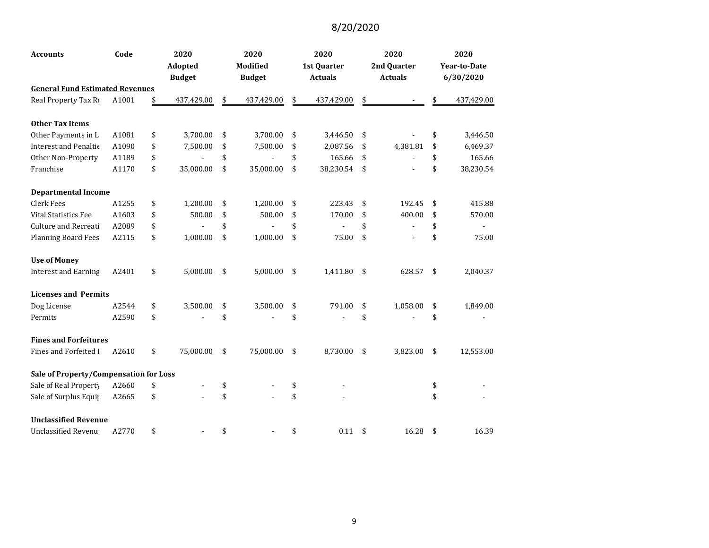| <b>Accounts</b>                        | Code  |    | 2020<br>Adopted<br><b>Budget</b> |    | 2020<br><b>Modified</b><br><b>Budget</b> | 2020<br>1st Quarter<br><b>Actuals</b> |                    | 2020<br>2nd Quarter<br><b>Actuals</b> | 2020<br><b>Year-to-Date</b><br>6/30/2020 |
|----------------------------------------|-------|----|----------------------------------|----|------------------------------------------|---------------------------------------|--------------------|---------------------------------------|------------------------------------------|
| <b>General Fund Estimated Revenues</b> |       |    |                                  |    |                                          |                                       |                    |                                       |                                          |
| Real Property Tax Re                   | A1001 | \$ | 437,429.00                       | \$ | 437,429.00                               | \$<br>437,429.00                      | \$                 |                                       | \$<br>437,429.00                         |
| <b>Other Tax Items</b>                 |       |    |                                  |    |                                          |                                       |                    |                                       |                                          |
| Other Payments in L                    | A1081 | \$ | 3,700.00                         | \$ | 3,700.00                                 | \$<br>3,446.50                        | \$                 |                                       | \$<br>3,446.50                           |
| <b>Interest and Penaltic</b>           | A1090 | \$ | 7,500.00                         | \$ | 7,500.00                                 | \$<br>2,087.56                        | \$                 | 4,381.81                              | \$<br>6,469.37                           |
| Other Non-Property                     | A1189 | \$ |                                  | \$ |                                          | \$<br>165.66                          | \$                 |                                       | \$<br>165.66                             |
| Franchise                              | A1170 | \$ | 35,000.00                        | \$ | 35,000.00                                | \$<br>38,230.54                       | \$                 |                                       | \$<br>38,230.54                          |
| <b>Departmental Income</b>             |       |    |                                  |    |                                          |                                       |                    |                                       |                                          |
| Clerk Fees                             | A1255 | \$ | 1,200.00                         | \$ | 1,200.00                                 | \$<br>223.43                          | \$                 | 192.45                                | \$<br>415.88                             |
| <b>Vital Statistics Fee</b>            | A1603 | \$ | 500.00                           | \$ | 500.00                                   | \$<br>170.00                          | \$                 | 400.00                                | \$<br>570.00                             |
| Culture and Recreati                   | A2089 | \$ |                                  | \$ |                                          | \$                                    | \$                 |                                       | \$                                       |
| <b>Planning Board Fees</b>             | A2115 | \$ | 1,000.00                         | \$ | 1,000.00                                 | \$<br>75.00                           | \$                 |                                       | \$<br>75.00                              |
| <b>Use of Money</b>                    |       |    |                                  |    |                                          |                                       |                    |                                       |                                          |
| <b>Interest and Earning</b>            | A2401 | \$ | 5,000.00                         | \$ | 5,000.00                                 | \$<br>1,411.80                        | \$                 | 628.57                                | \$<br>2,040.37                           |
| <b>Licenses and Permits</b>            |       |    |                                  |    |                                          |                                       |                    |                                       |                                          |
| Dog License                            | A2544 | \$ | 3,500.00                         | \$ | 3,500.00                                 | \$<br>791.00                          | \$                 | 1,058.00                              | \$<br>1,849.00                           |
| Permits                                | A2590 | \$ |                                  | \$ |                                          | \$                                    | \$                 |                                       | \$                                       |
| <b>Fines and Forfeitures</b>           |       |    |                                  |    |                                          |                                       |                    |                                       |                                          |
| Fines and Forfeited I                  | A2610 | \$ | 75,000.00                        | \$ | 75,000.00                                | \$<br>8,730.00                        | $\mathbf{\hat{S}}$ | 3,823.00                              | \$<br>12,553.00                          |
| Sale of Property/Compensation for Loss |       |    |                                  |    |                                          |                                       |                    |                                       |                                          |
| Sale of Real Property                  | A2660 | \$ |                                  | \$ |                                          | \$                                    |                    |                                       | \$                                       |
| Sale of Surplus Equip                  | A2665 | \$ |                                  | \$ |                                          | \$                                    |                    |                                       | \$                                       |
| <b>Unclassified Revenue</b>            |       |    |                                  |    |                                          |                                       |                    |                                       |                                          |
| Unclassified Revenu                    | A2770 | \$ |                                  | \$ |                                          | \$<br>0.11                            | \$                 | 16.28                                 | \$<br>16.39                              |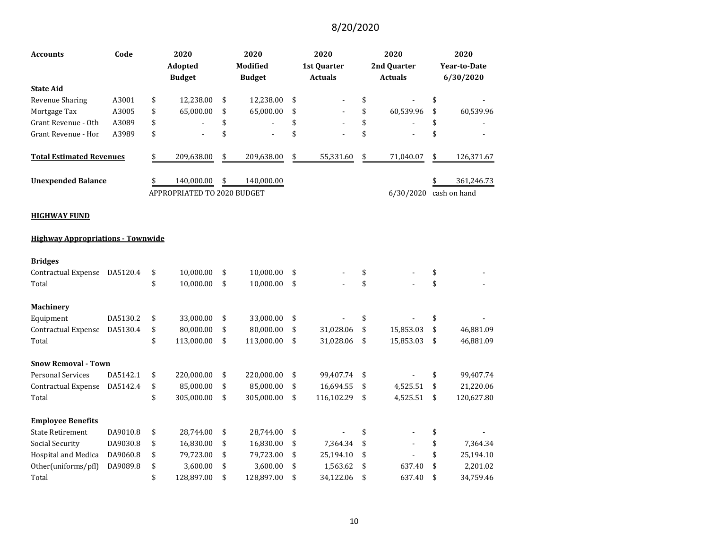| Code<br>Accounts                         |          | 2020<br>Adopted<br><b>Budget</b> |                             | 2020<br>Modified<br><b>Budget</b> |            | 2020<br>1st Quarter<br><b>Actuals</b> |            |    | 2020<br>2nd Quarter<br><b>Actuals</b> | 2020<br><b>Year-to-Date</b><br>6/30/2020 |
|------------------------------------------|----------|----------------------------------|-----------------------------|-----------------------------------|------------|---------------------------------------|------------|----|---------------------------------------|------------------------------------------|
| <b>State Aid</b>                         |          |                                  |                             |                                   |            |                                       |            |    |                                       |                                          |
| Revenue Sharing                          | A3001    | \$                               | 12,238.00                   | \$                                | 12,238.00  | \$                                    |            | \$ |                                       | \$                                       |
| Mortgage Tax                             | A3005    | \$                               | 65,000.00                   | \$                                | 65,000.00  | \$                                    |            | \$ | 60,539.96                             | \$<br>60,539.96                          |
| Grant Revenue - Oth                      | A3089    | \$                               |                             | \$                                |            | \$                                    |            | \$ |                                       | \$                                       |
| Grant Revenue - Hon                      | A3989    | \$                               |                             | \$                                |            | \$                                    |            | \$ |                                       | \$                                       |
| <b>Total Estimated Revenues</b>          |          | \$                               | 209,638.00                  | \$                                | 209,638.00 | \$                                    | 55,331.60  | \$ | 71,040.07                             | \$<br>126,371.67                         |
| <b>Unexpended Balance</b>                |          | \$                               | 140,000.00                  | \$                                | 140,000.00 |                                       |            |    |                                       | 361,246.73                               |
|                                          |          |                                  | APPROPRIATED TO 2020 BUDGET |                                   |            |                                       |            |    | 6/30/2020                             | cash on hand                             |
| <b>HIGHWAY FUND</b>                      |          |                                  |                             |                                   |            |                                       |            |    |                                       |                                          |
| <b>Highway Appropriations - Townwide</b> |          |                                  |                             |                                   |            |                                       |            |    |                                       |                                          |
| <b>Bridges</b>                           |          |                                  |                             |                                   |            |                                       |            |    |                                       |                                          |
| Contractual Expense                      | DA5120.4 | \$                               | 10,000.00                   | \$                                | 10,000.00  | \$                                    |            | \$ |                                       | \$                                       |
| Total                                    |          | \$                               | 10,000.00                   | \$                                | 10,000.00  | \$                                    |            | \$ |                                       | \$                                       |
| <b>Machinery</b>                         |          |                                  |                             |                                   |            |                                       |            |    |                                       |                                          |
| Equipment                                | DA5130.2 | \$                               | 33,000.00                   | \$                                | 33,000.00  | \$                                    |            | \$ |                                       | \$                                       |
| Contractual Expense                      | DA5130.4 | \$                               | 80,000.00                   | \$                                | 80,000.00  | \$                                    | 31,028.06  | \$ | 15,853.03                             | \$<br>46,881.09                          |
| Total                                    |          | \$                               | 113,000.00                  | \$                                | 113,000.00 | \$                                    | 31,028.06  | \$ | 15,853.03                             | \$<br>46,881.09                          |
| <b>Snow Removal - Town</b>               |          |                                  |                             |                                   |            |                                       |            |    |                                       |                                          |
| <b>Personal Services</b>                 | DA5142.1 | \$                               | 220,000.00                  | \$                                | 220,000.00 | \$                                    | 99,407.74  | \$ |                                       | \$<br>99,407.74                          |
| Contractual Expense                      | DA5142.4 | \$                               | 85,000.00                   | \$                                | 85,000.00  | \$                                    | 16,694.55  | \$ | 4,525.51                              | \$<br>21,220.06                          |
| Total                                    |          | \$                               | 305,000.00                  | \$                                | 305,000.00 | \$                                    | 116,102.29 | \$ | 4,525.51                              | \$<br>120,627.80                         |
| <b>Employee Benefits</b>                 |          |                                  |                             |                                   |            |                                       |            |    |                                       |                                          |
| <b>State Retirement</b>                  | DA9010.8 | \$                               | 28,744.00                   | \$                                | 28,744.00  | \$                                    |            | \$ |                                       | \$                                       |
| Social Security                          | DA9030.8 | \$                               | 16,830.00                   | \$                                | 16,830.00  | \$                                    | 7,364.34   | \$ |                                       | \$<br>7,364.34                           |
| Hospital and Medica                      | DA9060.8 | \$                               | 79,723.00                   | \$                                | 79,723.00  | \$                                    | 25,194.10  | \$ |                                       | \$<br>25,194.10                          |
| Other(uniforms/pfl)                      | DA9089.8 | \$                               | 3,600.00                    | \$                                | 3,600.00   | \$                                    | 1,563.62   | \$ | 637.40                                | \$<br>2,201.02                           |
| Total                                    |          | \$                               | 128,897.00                  | \$                                | 128,897.00 | \$                                    | 34,122.06  | \$ | 637.40                                | \$<br>34,759.46                          |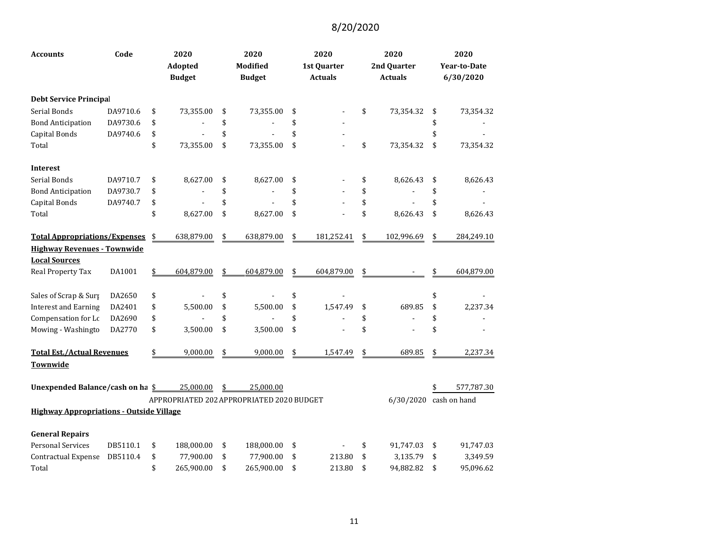| <b>Accounts</b>                                            | Code     | 2020<br>Adopted<br><b>Budget</b> | 2020<br>Modified<br><b>Budget</b>                            | 2020<br>1st Quarter<br><b>Actuals</b> | 2020<br>2nd Quarter<br><b>Actuals</b> | 2020<br><b>Year-to-Date</b><br>6/30/2020 |
|------------------------------------------------------------|----------|----------------------------------|--------------------------------------------------------------|---------------------------------------|---------------------------------------|------------------------------------------|
| <b>Debt Service Principal</b>                              |          |                                  |                                                              |                                       |                                       |                                          |
| Serial Bonds                                               | DA9710.6 | \$<br>73,355.00                  | \$<br>73,355.00                                              | \$                                    | \$<br>73,354.32                       | \$<br>73,354.32                          |
| <b>Bond Anticipation</b>                                   | DA9730.6 | \$                               | \$                                                           | \$                                    |                                       | \$                                       |
| Capital Bonds                                              | DA9740.6 | \$                               | \$                                                           | \$                                    |                                       |                                          |
| Total                                                      |          | \$<br>73,355.00                  | \$<br>73,355.00                                              | \$                                    | \$<br>73,354.32                       | \$<br>73,354.32                          |
| <b>Interest</b>                                            |          |                                  |                                                              |                                       |                                       |                                          |
| Serial Bonds                                               | DA9710.7 | \$<br>8,627.00                   | \$<br>8,627.00                                               | \$                                    | \$<br>8,626.43                        | \$<br>8,626.43                           |
| <b>Bond Anticipation</b>                                   | DA9730.7 | \$                               | \$                                                           | \$                                    | \$                                    | \$                                       |
| Capital Bonds                                              | DA9740.7 | \$                               | \$                                                           | \$                                    | \$                                    | \$                                       |
| Total                                                      |          | \$<br>8,627.00                   | \$<br>8,627.00                                               | \$                                    | \$<br>8,626.43                        | \$<br>8,626.43                           |
| <b>Total Appropriations/Expenses</b>                       |          | \$<br>638,879.00                 | \$<br>638,879.00                                             | \$<br>181,252.41                      | \$<br>102,996.69                      | \$<br>284,249.10                         |
| <b>Highway Revenues - Townwide</b><br><b>Local Sources</b> |          |                                  |                                                              |                                       |                                       |                                          |
| Real Property Tax                                          | DA1001   | \$<br>604,879.00                 | \$<br>604,879.00                                             | \$<br>604,879.00                      | \$                                    | 604,879.00                               |
| Sales of Scrap & Surp                                      | DA2650   | \$                               | \$                                                           | \$                                    |                                       |                                          |
| <b>Interest and Earning</b>                                | DA2401   | \$<br>5,500.00                   | \$<br>5,500.00                                               | \$<br>1,547.49                        | \$<br>689.85                          | \$<br>2,237.34                           |
| Compensation for Lo                                        | DA2690   | \$                               | \$                                                           | \$                                    | \$                                    | \$                                       |
| Mowing - Washingto                                         | DA2770   | \$<br>3,500.00                   | \$<br>3,500.00                                               | \$                                    | \$                                    | \$                                       |
| <b>Total Est./Actual Revenues</b>                          |          | \$<br>9,000.00                   | \$<br>9,000.00                                               | \$<br>1,547.49                        | \$<br>689.85                          | 2,237.34                                 |
| Townwide                                                   |          |                                  |                                                              |                                       |                                       |                                          |
| Unexpended Balance/cash on ha \$                           |          | 25,000.00                        | \$<br>25,000.00<br>APPROPRIATED 202 APPROPRIATED 2020 BUDGET |                                       | 6/30/2020                             | 577,787.30<br>cash on hand               |
| <b>Highway Appropriations - Outside Village</b>            |          |                                  |                                                              |                                       |                                       |                                          |
| <b>General Repairs</b>                                     |          |                                  |                                                              |                                       |                                       |                                          |
| <b>Personal Services</b>                                   | DB5110.1 | \$<br>188,000.00                 | \$<br>188,000.00                                             | \$                                    | \$<br>91,747.03                       | \$<br>91,747.03                          |
| Contractual Expense                                        | DB5110.4 | \$<br>77,900.00                  | \$<br>77,900.00                                              | \$<br>213.80                          | \$<br>3,135.79                        | \$<br>3,349.59                           |
| Total                                                      |          | \$<br>265,900.00                 | \$<br>265,900.00                                             | \$<br>213.80                          | \$<br>94,882.82                       | \$<br>95,096.62                          |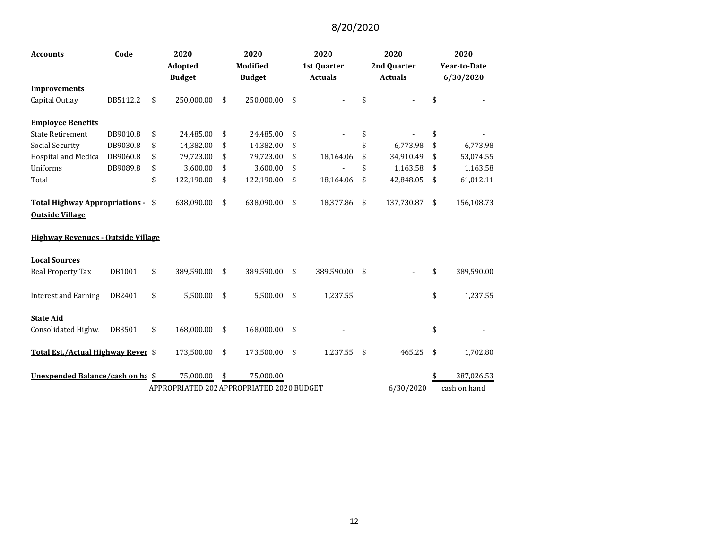| <b>Accounts</b>                           | Code     |    | 2020<br>Adopted<br><b>Budget</b> |    | 2020<br>Modified<br><b>Budget</b>         |    | 2020<br>1st Quarter<br><b>Actuals</b> |    | 2020<br>2nd Quarter<br><b>Actuals</b> |     | 2020<br><b>Year-to-Date</b><br>6/30/2020 |  |
|-------------------------------------------|----------|----|----------------------------------|----|-------------------------------------------|----|---------------------------------------|----|---------------------------------------|-----|------------------------------------------|--|
| <b>Improvements</b>                       |          |    |                                  |    |                                           |    |                                       |    |                                       |     |                                          |  |
| Capital Outlay                            | DB5112.2 | \$ | 250,000.00                       | \$ | 250,000.00                                | \$ |                                       | \$ |                                       |     |                                          |  |
| <b>Employee Benefits</b>                  |          |    |                                  |    |                                           |    |                                       |    |                                       |     |                                          |  |
| <b>State Retirement</b>                   | DB9010.8 | \$ | 24,485.00                        | \$ | 24,485.00                                 | \$ |                                       | \$ |                                       | \$  |                                          |  |
| Social Security                           | DB9030.8 | \$ | 14,382.00                        | \$ | 14,382.00                                 | \$ |                                       | \$ | 6,773.98                              | \$  | 6,773.98                                 |  |
| Hospital and Medica                       | DB9060.8 | \$ | 79,723.00                        | \$ | 79,723.00                                 | \$ | 18,164.06                             | \$ | 34,910.49                             | \$  | 53,074.55                                |  |
| Uniforms                                  | DB9089.8 | \$ | 3,600.00                         | \$ | 3,600.00                                  | \$ |                                       |    | 1,163.58                              | \$. | 1,163.58                                 |  |
| Total                                     |          | \$ | 122,190.00                       | \$ | 122,190.00                                | \$ | 18,164.06                             | \$ | 42,848.05                             | \$  | 61,012.11                                |  |
| Total Highway Appropriations -            |          | \$ | 638,090.00                       | \$ | 638,090.00                                | \$ | 18,377.86                             | \$ | 137,730.87                            | \$  | 156,108.73                               |  |
| <b>Outside Village</b>                    |          |    |                                  |    |                                           |    |                                       |    |                                       |     |                                          |  |
| <b>Highway Revenues - Outside Village</b> |          |    |                                  |    |                                           |    |                                       |    |                                       |     |                                          |  |
| <b>Local Sources</b>                      |          |    |                                  |    |                                           |    |                                       |    |                                       |     |                                          |  |
| <b>Real Property Tax</b>                  | DB1001   | \$ | 389,590.00                       | \$ | 389,590.00                                | \$ | 389,590.00                            | \$ |                                       |     | 389,590.00                               |  |
| <b>Interest and Earning</b>               | DB2401   | \$ | 5,500.00                         | \$ | 5,500.00                                  | \$ | 1,237.55                              |    |                                       | \$  | 1,237.55                                 |  |
| <b>State Aid</b>                          |          |    |                                  |    |                                           |    |                                       |    |                                       |     |                                          |  |
| Consolidated Highwa                       | DB3501   | \$ | 168,000.00                       | \$ | 168,000.00                                | \$ |                                       |    |                                       | \$  |                                          |  |
| Total Est./Actual Highway Reven \$        |          |    | 173,500.00                       | \$ | 173,500.00                                | \$ | 1,237.55                              | \$ | 465.25                                | \$  | 1,702.80                                 |  |
| Unexpended Balance/cash on ha \$          |          |    | 75,000.00                        | \$ | 75,000.00                                 |    |                                       |    |                                       |     | 387,026.53                               |  |
|                                           |          |    |                                  |    | APPROPRIATED 202 APPROPRIATED 2020 BUDGET |    |                                       |    | 6/30/2020                             |     | cash on hand                             |  |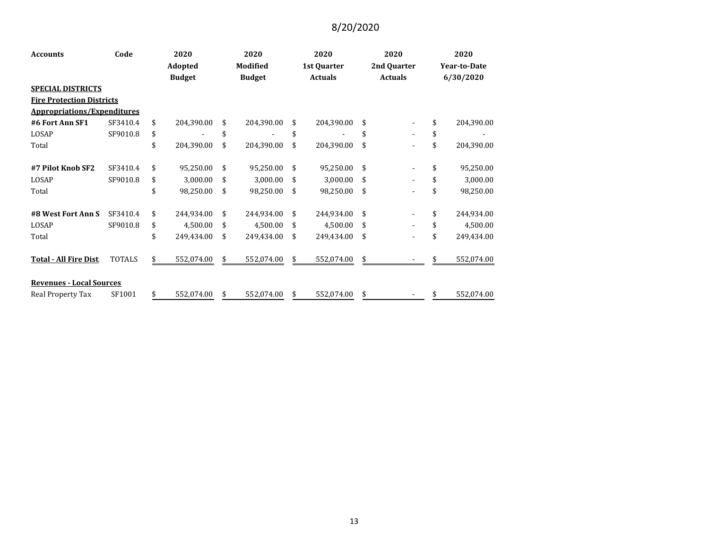| <b>Accounts</b>                    | Code          | 2020<br>Adopted |               | 2020<br><b>Modified</b> |               | 2020<br>1st Quarter |                | 2020<br>2nd Quarter |                | 2020<br><b>Year-to-Date</b> |            |  |  |
|------------------------------------|---------------|-----------------|---------------|-------------------------|---------------|---------------------|----------------|---------------------|----------------|-----------------------------|------------|--|--|
|                                    |               |                 |               |                         |               |                     |                |                     |                |                             |            |  |  |
|                                    |               |                 | <b>Budget</b> |                         | <b>Budget</b> |                     | <b>Actuals</b> |                     | <b>Actuals</b> |                             | 6/30/2020  |  |  |
| <b>SPECIAL DISTRICTS</b>           |               |                 |               |                         |               |                     |                |                     |                |                             |            |  |  |
| <b>Fire Protection Districts</b>   |               |                 |               |                         |               |                     |                |                     |                |                             |            |  |  |
| <b>Appropriations/Expenditures</b> |               |                 |               |                         |               |                     |                |                     |                |                             |            |  |  |
| #6 Fort Ann SF1                    | SF3410.4      | \$              | 204,390.00    | \$                      | 204,390.00    | \$                  | 204,390.00     | \$                  |                | \$                          | 204,390.00 |  |  |
| LOSAP                              | SF9010.8      | \$              |               | \$                      |               | \$                  |                | \$                  | $\blacksquare$ | \$                          |            |  |  |
| Total                              |               | \$              | 204,390.00    | \$                      | 204,390.00    | \$                  | 204,390.00     | \$                  |                | \$                          | 204,390.00 |  |  |
| #7 Pilot Knob SF2                  | SF3410.4      | \$              | 95,250.00     | \$                      | 95,250.00     | \$                  | 95,250.00      | \$                  |                | \$                          | 95,250.00  |  |  |
| LOSAP                              | SF9010.8      | \$              | 3,000.00      | \$                      | 3,000.00      | \$                  | 3,000.00       | \$                  |                | \$                          | 3,000.00   |  |  |
| Total                              |               | \$              | 98,250.00     | \$                      | 98,250.00     | \$                  | 98,250.00      | \$                  |                | \$                          | 98,250.00  |  |  |
| #8 West Fort Ann S                 | SF3410.4      | \$              | 244,934.00    | \$                      | 244,934.00    | \$                  | 244,934.00     | \$                  | $\blacksquare$ | \$                          | 244,934.00 |  |  |
| LOSAP                              | SF9010.8      | \$              | 4,500.00      | \$                      | 4,500.00      | \$                  | 4,500.00       | \$                  | $\blacksquare$ | \$                          | 4,500.00   |  |  |
| Total                              |               | \$              | 249,434.00    | \$                      | 249,434.00    | \$                  | 249,434.00     | \$                  | $\blacksquare$ | \$                          | 249,434.00 |  |  |
| <b>Total - All Fire Dist</b>       | <b>TOTALS</b> | \$              | 552,074.00    | \$                      | 552,074.00    | \$                  | 552,074.00     | \$                  |                | \$                          | 552,074.00 |  |  |
| <b>Revenues - Local Sources</b>    |               |                 |               |                         |               |                     |                |                     |                |                             |            |  |  |
| Real Property Tax                  | SF1001        | \$              | 552,074.00    | \$                      | 552,074.00    | \$                  | 552,074.00     | \$                  |                | \$                          | 552,074.00 |  |  |